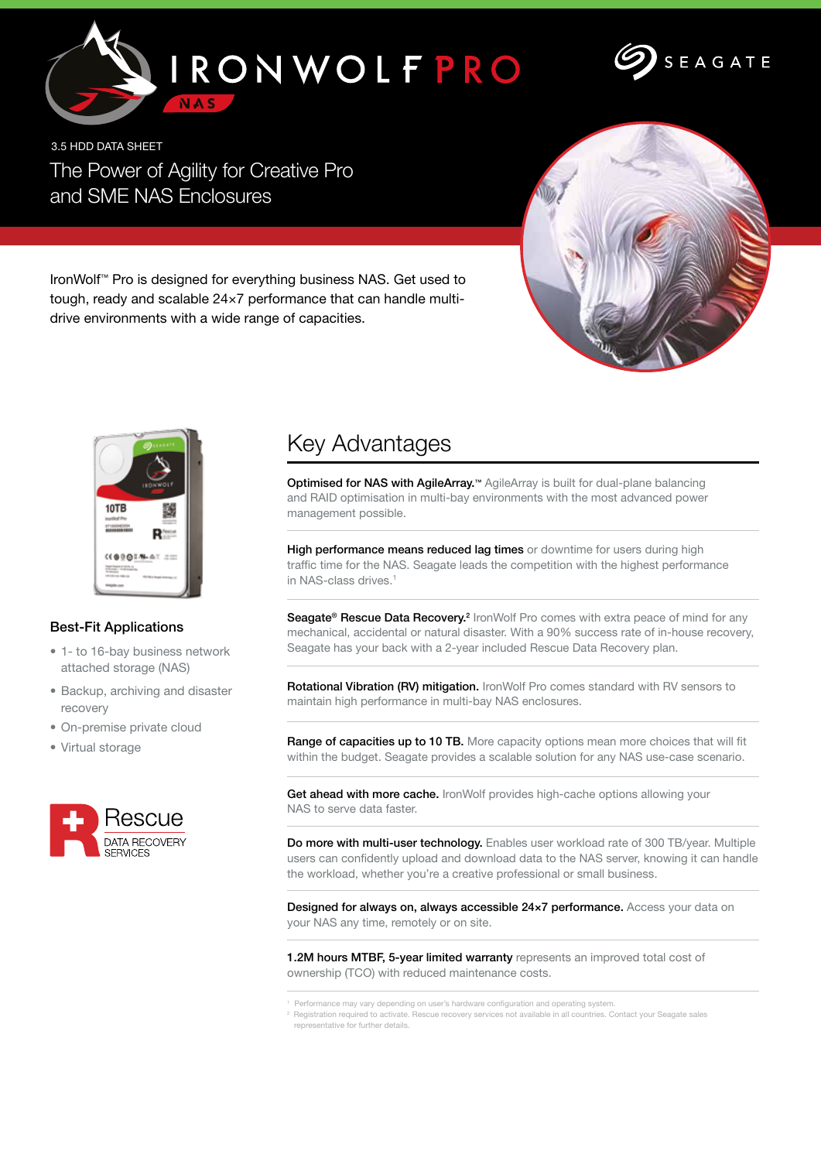



3.5 HDD DATA SHEET The Power of Agility for Creative Pro and SME NAS Enclosures



IronWolf™ Pro is designed for everything business NAS. Get used to tough, ready and scalable 24×7 performance that can handle multidrive environments with a wide range of capacities.



## Best-Fit Applications

- 1- to 16-bay business network attached storage (NAS)
- Backup, archiving and disaster recovery
- On-premise private cloud
- Virtual storage



## Key Advantages

Optimised for NAS with AgileArray.™ AgileArray is built for dual-plane balancing and RAID optimisation in multi-bay environments with the most advanced power management possible.

High performance means reduced lag times or downtime for users during high traffic time for the NAS. Seagate leads the competition with the highest performance in NAS-class drives.<sup>1</sup>

Seagate<sup>®</sup> Rescue Data Recovery.<sup>2</sup> IronWolf Pro comes with extra peace of mind for any mechanical, accidental or natural disaster. With a 90% success rate of in-house recovery, Seagate has your back with a 2-year included Rescue Data Recovery plan.

Rotational Vibration (RV) mitigation. IronWolf Pro comes standard with RV sensors to maintain high performance in multi-bay NAS enclosures.

Range of capacities up to 10 TB. More capacity options mean more choices that will fit within the budget. Seagate provides a scalable solution for any NAS use-case scenario.

Get ahead with more cache. IronWolf provides high-cache options allowing your NAS to serve data faster.

Do more with multi-user technology. Enables user workload rate of 300 TB/year. Multiple users can confidently upload and download data to the NAS server, knowing it can handle the workload, whether you're a creative professional or small business.

Designed for always on, always accessible 24x7 performance. Access your data on your NAS any time, remotely or on site.

1.2M hours MTBF, 5-year limited warranty represents an improved total cost of ownership (TCO) with reduced maintenance costs.

1 Performance may vary depending on user's hardware configuration and operating system.

 $2$  Registration required to activate. Rescue recovery services not available in all countries. Contact your Seagate sales representative for further details.